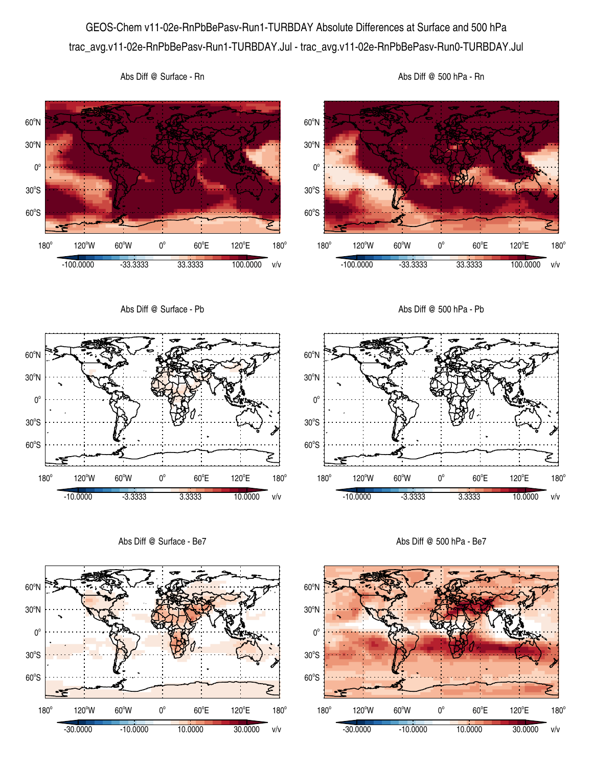GEOS-Chem v11-02e-RnPbBePasv-Run1-TURBDAY Absolute Differences at Surface and 500 hPa trac\_avg.v11-02e-RnPbBePasv-Run1-TURBDAY.Jul - trac\_avg.v11-02e-RnPbBePasv-Run0-TURBDAY.Jul



Abs Diff @ Surface - Rn

60°S

 $180^\circ$ 

 $120^{\circ}$ W 60 $^{\circ}$ W 0 $^{\circ}$ 

 $60^{\circ}E$ 

-30.0000 -10.0000 10.0000 30.0000 v/v

120°E

 $180^\circ$ 

محتم

60°S

 $180^\circ$ 

120°W 60°W 0°

 $60^{\circ}E$ 

-30.0000 -10.0000 10.0000 30.0000 v/v

120°E

 $180^\circ$ 

 $30^{\circ}$ S

 $0^{\circ}$ 

 $30^{\circ}$ S

 $0^{\circ}$